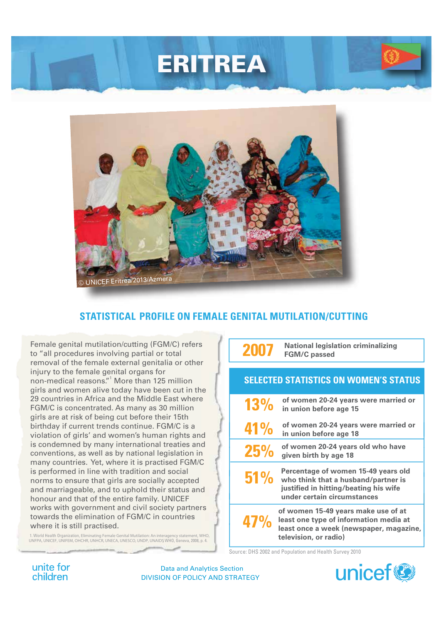



## **STATISTICAL PROFILE ON FEMALE GENITAL MUTILATION/CUTTING**

Female genital mutilation/cutting (FGM/C) refers to "all procedures involving partial or total removal of the female external genitalia or other injury to the female genital organs for non-medical reasons." More than 125 million girls and women alive today have been cut in the 29 countries in Africa and the Middle East where FGM/C is concentrated. As many as 30 million girls are at risk of being cut before their 15th birthday if current trends continue. FGM/C is a violation of girls' and women's human rights and is condemned by many international treaties and conventions, as well as by national legislation in many countries. Yet, where it is practised FGM/C is performed in line with tradition and social norms to ensure that girls are socially accepted and marriageable, and to uphold their status and honour and that of the entire family. UNICEF works with government and civil society partners towards the elimination of FGM/C in countries where it is still practised.

1. World Health Organization, Eliminating Female Genital Mutilation: An interagency statement, WHO, UNFPA, UNICEF, UNIFEM, OHCHR, UNHCR, UNECA, UNESCO, UNDP, UNAIDS, WHO, Geneva, 2008, p. 4.

**2007 National legislation criminalizing FGM/C passed**

#### <sup>1</sup> **SELECTED STATISTICS ON WOMEN'S STATUS**

| 13%        | of women 20-24 years were married or<br>in union before age 15                                                                                     |
|------------|----------------------------------------------------------------------------------------------------------------------------------------------------|
| <b>41%</b> | of women 20-24 years were married or<br>in union before age 18                                                                                     |
| <b>25%</b> | of women 20-24 years old who have<br>given birth by age 18                                                                                         |
| 51%        | Percentage of women 15-49 years old<br>who think that a husband/partner is<br>justified in hitting/beating his wife<br>under certain circumstances |
| 47%        | of women 15-49 years make use of at<br>least one type of information media at<br>least once a week (newspaper, magazine,<br>television, or radio)  |

Source: DHS 2002 and Population and Health Survey 2010

unite for children

DIVISION OF POLICY AND STRATEGY Data and Analytics Section

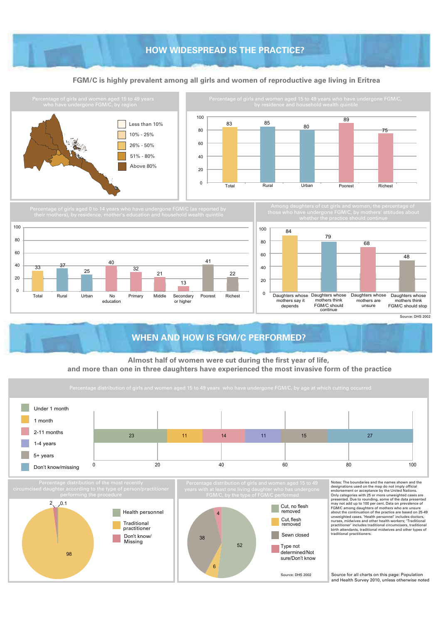## **HOW WIDESPREAD IS THE PRACTICE? HOW WIDESPREAD IS THE PRACTICE?**

#### **FGM/C is highly prevalent among all girls and women of reproductive age living in Eritrea**



Source for all charts on this page: Population and Health Survey 2010, unless otherwise noted

Source: DHS 2002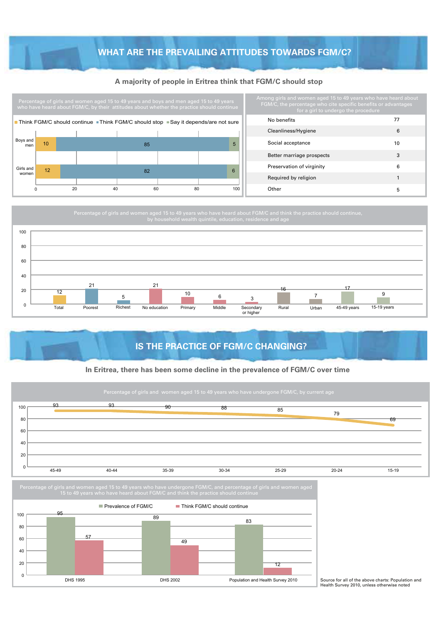### **WHAT ARE THE PREVAILING ATTITUDES TOWARDS FGM/C?**

#### **A majority of people in Eritrea think that FGM/C should stop**



 $\mathbf{0}$ 

| mong girls and women aged 15 to 49 years who have heard about<br>FGM/C, the percentage who cite specific benefits or advantages<br>for a girl to undergo the procedure |    |  |  |
|------------------------------------------------------------------------------------------------------------------------------------------------------------------------|----|--|--|
| No benefits                                                                                                                                                            | 77 |  |  |
| Cleanliness/Hygiene                                                                                                                                                    | 6  |  |  |
| Social acceptance                                                                                                                                                      | 10 |  |  |
| Better marriage prospects                                                                                                                                              | 3  |  |  |
| Preservation of virginity                                                                                                                                              | 6  |  |  |
| Required by religion                                                                                                                                                   | 1  |  |  |
| Other                                                                                                                                                                  | 5  |  |  |

Percentage of girls and women aged 15 to 49 years who have heard about FGM/C and think the practice should continue, 12 21 5 21 <sup>6</sup> <sup>10</sup> <sup>3</sup> <sup>7</sup> <sup>9</sup> **Total** Poorest Richest No education Primary Middle Secondary or higher Rural Urban 45-49 years 15-19 years  $\overline{0}$ 20 40 60 80 100 16 17

## **IS THE PRACTICE OF FGM/C CHANGING?**

#### **In Eritrea, there has been some decline in the prevalence of FGM/C over time**



DHS 1995 DHS 2002 DHS 2002 Population and Health Survey 2010

Source for all of the above charts: Population and Health Survey 2010, unless otherwise noted